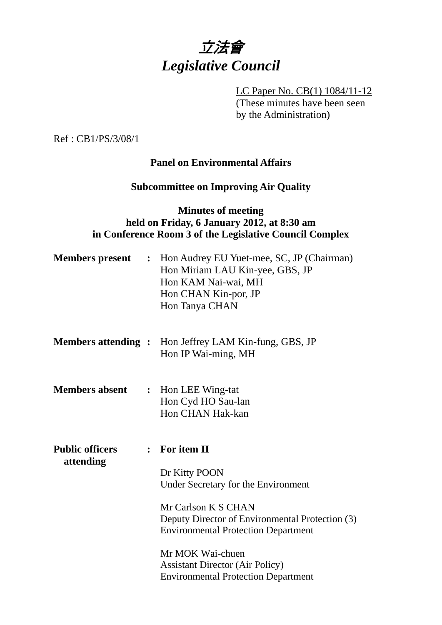

LC Paper No. CB(1) 1084/11-12 (These minutes have been seen by the Administration)

Ref : CB1/PS/3/08/1

#### **Panel on Environmental Affairs**

#### **Subcommittee on Improving Air Quality**

## **Minutes of meeting held on Friday, 6 January 2012, at 8:30 am in Conference Room 3 of the Legislative Council Complex**

| <b>Members</b> present              |                | : Hon Audrey EU Yuet-mee, SC, JP (Chairman)<br>Hon Miriam LAU Kin-yee, GBS, JP<br>Hon KAM Nai-wai, MH<br>Hon CHAN Kin-por, JP<br>Hon Tanya CHAN                                                                                                                                                             |
|-------------------------------------|----------------|-------------------------------------------------------------------------------------------------------------------------------------------------------------------------------------------------------------------------------------------------------------------------------------------------------------|
| <b>Members attending:</b>           |                | Hon Jeffrey LAM Kin-fung, GBS, JP<br>Hon IP Wai-ming, MH                                                                                                                                                                                                                                                    |
| <b>Members absent</b>               | $\ddot{\cdot}$ | Hon LEE Wing-tat<br>Hon Cyd HO Sau-lan<br>Hon CHAN Hak-kan                                                                                                                                                                                                                                                  |
| <b>Public officers</b><br>attending |                | $:$ For item II<br>Dr Kitty POON<br>Under Secretary for the Environment<br>Mr Carlson K S CHAN<br>Deputy Director of Environmental Protection (3)<br><b>Environmental Protection Department</b><br>Mr MOK Wai-chuen<br><b>Assistant Director (Air Policy)</b><br><b>Environmental Protection Department</b> |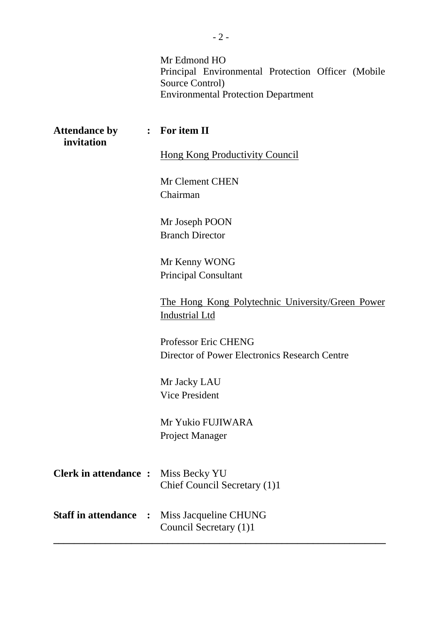Mr Edmond HO Principal Environmental Protection Officer (Mobile Source Control) Environmental Protection Department

| <b>Attendance by</b><br>invitation         |              | : For item II                                                             |
|--------------------------------------------|--------------|---------------------------------------------------------------------------|
|                                            |              | <b>Hong Kong Productivity Council</b>                                     |
|                                            |              | Mr Clement CHEN<br>Chairman                                               |
|                                            |              | Mr Joseph POON<br><b>Branch Director</b>                                  |
|                                            |              | Mr Kenny WONG<br><b>Principal Consultant</b>                              |
|                                            |              | The Hong Kong Polytechnic University/Green Power<br><b>Industrial Ltd</b> |
|                                            |              | Professor Eric CHENG<br>Director of Power Electronics Research Centre     |
|                                            |              | Mr Jacky LAU<br><b>Vice President</b>                                     |
|                                            |              | Mr Yukio FUJIWARA<br>Project Manager                                      |
| <b>Clerk in attendance :</b> Miss Becky YU |              | Chief Council Secretary (1)1                                              |
| <b>Staff in attendance</b>                 | $\mathbf{r}$ | Miss Jacqueline CHUNG<br>Council Secretary (1)1                           |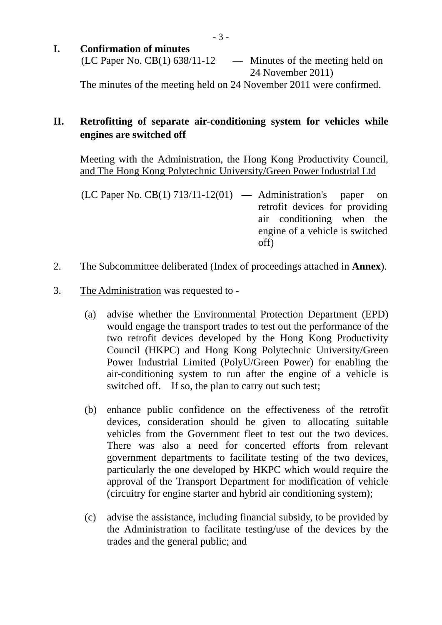- 3 -
- **I. Confirmation of minutes** 
	- $(LC$  Paper No.  $CB(1)$  638/11-12 Minutes of the meeting held on 24 November 2011)

The minutes of the meeting held on 24 November 2011 were confirmed.

# **II. Retrofitting of separate air-conditioning system for vehicles while engines are switched off**

Meeting with the Administration, the Hong Kong Productivity Council, and The Hong Kong Polytechnic University/Green Power Industrial Ltd

- (LC Paper No. CB(1) 713/11-12(01) **—** Administration's paper on retrofit devices for providing air conditioning when the engine of a vehicle is switched off)
- 2. The Subcommittee deliberated (Index of proceedings attached in **Annex**).
- 3. The Administration was requested to
	- (a) advise whether the Environmental Protection Department (EPD) would engage the transport trades to test out the performance of the two retrofit devices developed by the Hong Kong Productivity Council (HKPC) and Hong Kong Polytechnic University/Green Power Industrial Limited (PolyU/Green Power) for enabling the air-conditioning system to run after the engine of a vehicle is switched off. If so, the plan to carry out such test;
	- (b) enhance public confidence on the effectiveness of the retrofit devices, consideration should be given to allocating suitable vehicles from the Government fleet to test out the two devices. There was also a need for concerted efforts from relevant government departments to facilitate testing of the two devices, particularly the one developed by HKPC which would require the approval of the Transport Department for modification of vehicle (circuitry for engine starter and hybrid air conditioning system);
	- (c) advise the assistance, including financial subsidy, to be provided by the Administration to facilitate testing/use of the devices by the trades and the general public; and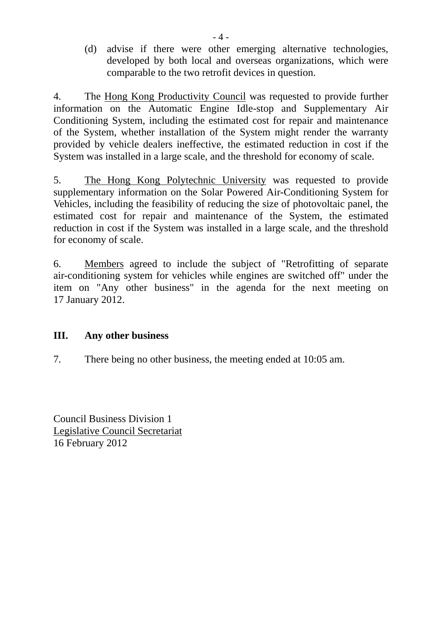(d) advise if there were other emerging alternative technologies, developed by both local and overseas organizations, which were comparable to the two retrofit devices in question.

4. The Hong Kong Productivity Council was requested to provide further information on the Automatic Engine Idle-stop and Supplementary Air Conditioning System, including the estimated cost for repair and maintenance of the System, whether installation of the System might render the warranty provided by vehicle dealers ineffective, the estimated reduction in cost if the System was installed in a large scale, and the threshold for economy of scale.

5. The Hong Kong Polytechnic University was requested to provide supplementary information on the Solar Powered Air-Conditioning System for Vehicles, including the feasibility of reducing the size of photovoltaic panel, the estimated cost for repair and maintenance of the System, the estimated reduction in cost if the System was installed in a large scale, and the threshold for economy of scale.

6. Members agreed to include the subject of "Retrofitting of separate air-conditioning system for vehicles while engines are switched off" under the item on "Any other business" in the agenda for the next meeting on 17 January 2012.

## **III. Any other business**

7. There being no other business, the meeting ended at 10:05 am.

Council Business Division 1 Legislative Council Secretariat 16 February 2012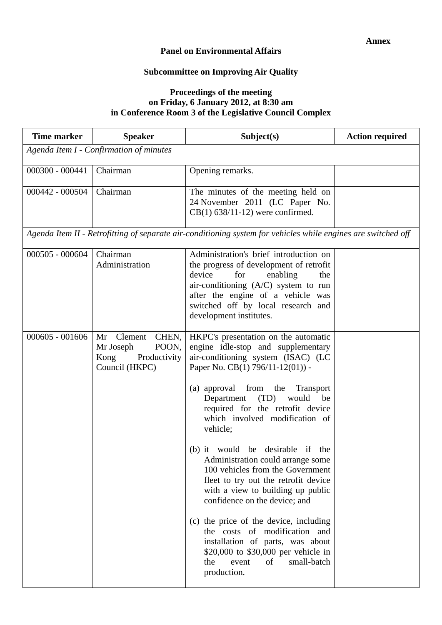#### **Panel on Environmental Affairs**

## **Subcommittee on Improving Air Quality**

#### **Proceedings of the meeting on Friday, 6 January 2012, at 8:30 am in Conference Room 3 of the Legislative Council Complex**

| <b>Time marker</b> | <b>Speaker</b>                                                                      | Subject(s)                                                                                                                                                                                                                                                                                                                                                                                                                                                                                                                                                                                                                                                                                                                                       | <b>Action required</b> |
|--------------------|-------------------------------------------------------------------------------------|--------------------------------------------------------------------------------------------------------------------------------------------------------------------------------------------------------------------------------------------------------------------------------------------------------------------------------------------------------------------------------------------------------------------------------------------------------------------------------------------------------------------------------------------------------------------------------------------------------------------------------------------------------------------------------------------------------------------------------------------------|------------------------|
|                    | Agenda Item I - Confirmation of minutes                                             |                                                                                                                                                                                                                                                                                                                                                                                                                                                                                                                                                                                                                                                                                                                                                  |                        |
| $000300 - 000441$  | Chairman                                                                            | Opening remarks.                                                                                                                                                                                                                                                                                                                                                                                                                                                                                                                                                                                                                                                                                                                                 |                        |
| 000442 - 000504    | Chairman                                                                            | The minutes of the meeting held on<br>24 November 2011 (LC Paper No.<br>$CB(1)$ 638/11-12) were confirmed.                                                                                                                                                                                                                                                                                                                                                                                                                                                                                                                                                                                                                                       |                        |
|                    |                                                                                     | Agenda Item II - Retrofitting of separate air-conditioning system for vehicles while engines are switched off                                                                                                                                                                                                                                                                                                                                                                                                                                                                                                                                                                                                                                    |                        |
| $000505 - 000604$  | Chairman<br>Administration                                                          | Administration's brief introduction on<br>the progress of development of retrofit<br>device<br>for<br>enabling<br>the<br>air-conditioning $(A/C)$ system to run<br>after the engine of a vehicle was<br>switched off by local research and<br>development institutes.                                                                                                                                                                                                                                                                                                                                                                                                                                                                            |                        |
| $000605 - 001606$  | Mr Clement<br>CHEN,<br>POON,<br>Mr Joseph<br>Productivity<br>Kong<br>Council (HKPC) | HKPC's presentation on the automatic<br>engine idle-stop and supplementary<br>air-conditioning system (ISAC) (LC<br>Paper No. CB(1) 796/11-12(01)) -<br>(a) approval from the Transport<br>would<br>Department (TD)<br>be<br>required for the retrofit device<br>which involved modification of<br>vehicle;<br>(b) it would be desirable if the<br>Administration could arrange some<br>100 vehicles from the Government<br>fleet to try out the retrofit device<br>with a view to building up public<br>confidence on the device; and<br>(c) the price of the device, including<br>the costs of modification and<br>installation of parts, was about<br>\$20,000 to \$30,000 per vehicle in<br>small-batch<br>the<br>event<br>of<br>production. |                        |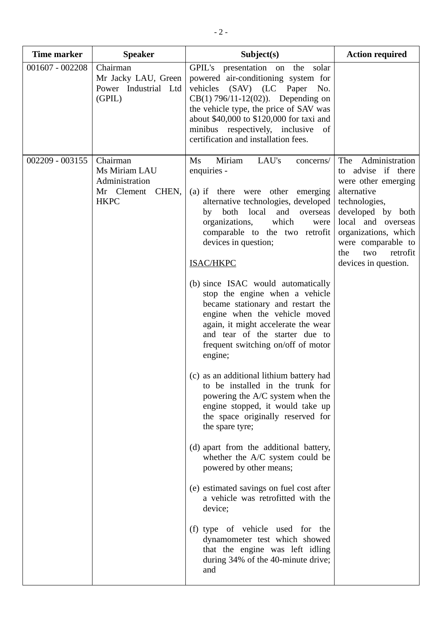| <b>Time marker</b> | <b>Speaker</b>                                                                    | Subject(s)                                                                                                                                                                                                                                                                                                                                                                                                                                                                                                                                                                                                                                                                                                                                                                                                                                                                                                                                                                                                                                                                                                                      | <b>Action required</b>                                                                                                                                                                                                                     |
|--------------------|-----------------------------------------------------------------------------------|---------------------------------------------------------------------------------------------------------------------------------------------------------------------------------------------------------------------------------------------------------------------------------------------------------------------------------------------------------------------------------------------------------------------------------------------------------------------------------------------------------------------------------------------------------------------------------------------------------------------------------------------------------------------------------------------------------------------------------------------------------------------------------------------------------------------------------------------------------------------------------------------------------------------------------------------------------------------------------------------------------------------------------------------------------------------------------------------------------------------------------|--------------------------------------------------------------------------------------------------------------------------------------------------------------------------------------------------------------------------------------------|
| $001607 - 002208$  | Chairman<br>Mr Jacky LAU, Green<br>Power Industrial Ltd<br>(GPIL)                 | GPIL's presentation on the<br>solar<br>powered air-conditioning system for<br>vehicles (SAV) (LC Paper No.<br>$CB(1) 796/11-12(02))$ . Depending on<br>the vehicle type, the price of SAV was<br>about \$40,000 to \$120,000 for taxi and<br>minibus respectively, inclusive of<br>certification and installation fees.                                                                                                                                                                                                                                                                                                                                                                                                                                                                                                                                                                                                                                                                                                                                                                                                         |                                                                                                                                                                                                                                            |
| $002209 - 003155$  | Chairman<br>Ms Miriam LAU<br>Administration<br>Mr Clement<br>CHEN,<br><b>HKPC</b> | Miriam<br>LAU's<br>Ms<br>concerns/<br>enquiries -<br>(a) if there were other emerging<br>alternative technologies, developed<br>both local<br>and<br>overseas<br>by<br>which<br>organizations,<br>were<br>comparable to the two retrofit<br>devices in question;<br>ISAC/HKPC<br>(b) since ISAC would automatically<br>stop the engine when a vehicle<br>became stationary and restart the<br>engine when the vehicle moved<br>again, it might accelerate the wear<br>and tear of the starter due to<br>frequent switching on/off of motor<br>engine;<br>(c) as an additional lithium battery had<br>to be installed in the trunk for<br>powering the A/C system when the<br>engine stopped, it would take up<br>the space originally reserved for<br>the spare tyre;<br>(d) apart from the additional battery,<br>whether the A/C system could be<br>powered by other means;<br>(e) estimated savings on fuel cost after<br>a vehicle was retrofitted with the<br>device;<br>(f) type of vehicle used for the<br>dynamometer test which showed<br>that the engine was left idling<br>during 34% of the 40-minute drive;<br>and | The Administration<br>to advise if there<br>were other emerging<br>alternative<br>technologies,<br>developed by both<br>local and overseas<br>organizations, which<br>were comparable to<br>retrofit<br>the<br>two<br>devices in question. |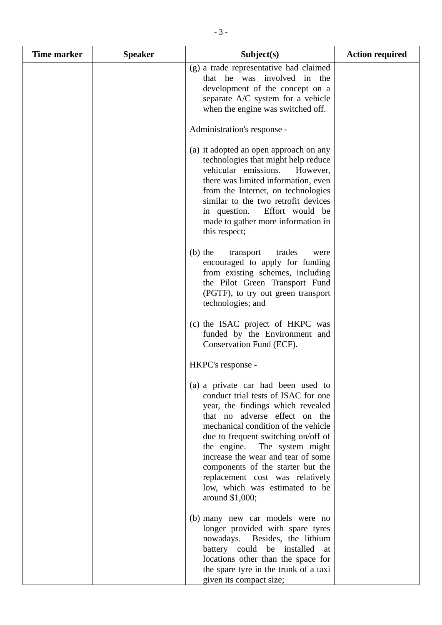| <b>Time marker</b> | <b>Speaker</b> | Subject(s)                                                                                                                                                                                                                                                                                                                                                                                                                        | <b>Action required</b> |
|--------------------|----------------|-----------------------------------------------------------------------------------------------------------------------------------------------------------------------------------------------------------------------------------------------------------------------------------------------------------------------------------------------------------------------------------------------------------------------------------|------------------------|
|                    |                | (g) a trade representative had claimed<br>that he was involved in the<br>development of the concept on a<br>separate A/C system for a vehicle<br>when the engine was switched off.                                                                                                                                                                                                                                                |                        |
|                    |                | Administration's response -                                                                                                                                                                                                                                                                                                                                                                                                       |                        |
|                    |                | (a) it adopted an open approach on any<br>technologies that might help reduce<br>vehicular emissions.<br>However,<br>there was limited information, even<br>from the Internet, on technologies<br>similar to the two retrofit devices<br>in question. Effort would be<br>made to gather more information in<br>this respect;                                                                                                      |                        |
|                    |                | $(b)$ the<br>trades<br>transport<br>were<br>encouraged to apply for funding<br>from existing schemes, including<br>the Pilot Green Transport Fund<br>(PGTF), to try out green transport<br>technologies; and                                                                                                                                                                                                                      |                        |
|                    |                | (c) the ISAC project of HKPC was<br>funded by the Environment and<br>Conservation Fund (ECF).                                                                                                                                                                                                                                                                                                                                     |                        |
|                    |                | HKPC's response -                                                                                                                                                                                                                                                                                                                                                                                                                 |                        |
|                    |                | (a) a private car had been used to<br>conduct trial tests of ISAC for one<br>year, the findings which revealed<br>that no adverse effect on the<br>mechanical condition of the vehicle<br>due to frequent switching on/off of<br>the engine. The system might<br>increase the wear and tear of some<br>components of the starter but the<br>replacement cost was relatively<br>low, which was estimated to be<br>around $$1,000;$ |                        |
|                    |                | (b) many new car models were no<br>longer provided with spare tyres<br>nowadays. Besides, the lithium<br>battery could be installed<br>at<br>locations other than the space for<br>the spare tyre in the trunk of a taxi<br>given its compact size;                                                                                                                                                                               |                        |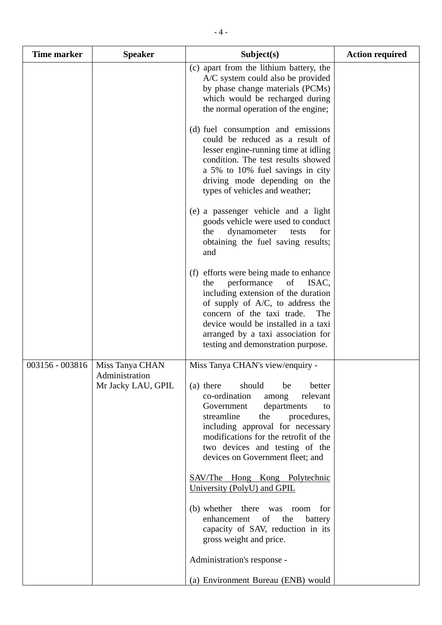| <b>Time marker</b> | <b>Speaker</b>                                          | Subject(s)                                                                                                                                                                                                                                                                                                                              | <b>Action required</b> |
|--------------------|---------------------------------------------------------|-----------------------------------------------------------------------------------------------------------------------------------------------------------------------------------------------------------------------------------------------------------------------------------------------------------------------------------------|------------------------|
|                    |                                                         | (c) apart from the lithium battery, the<br>A/C system could also be provided<br>by phase change materials (PCMs)<br>which would be recharged during<br>the normal operation of the engine;                                                                                                                                              |                        |
|                    |                                                         | (d) fuel consumption and emissions<br>could be reduced as a result of<br>lesser engine-running time at idling<br>condition. The test results showed<br>a 5% to 10% fuel savings in city<br>driving mode depending on the<br>types of vehicles and weather;                                                                              |                        |
|                    |                                                         | (e) a passenger vehicle and a light<br>goods vehicle were used to conduct<br>dynamometer<br>for<br>the<br>tests<br>obtaining the fuel saving results;<br>and                                                                                                                                                                            |                        |
|                    |                                                         | efforts were being made to enhance<br>(f)<br>performance<br>of<br>ISAC,<br>the<br>including extension of the duration<br>of supply of $A/C$ , to address the<br>concern of the taxi trade.<br>The<br>device would be installed in a taxi<br>arranged by a taxi association for<br>testing and demonstration purpose.                    |                        |
| 003156 - 003816    | Miss Tanya CHAN<br>Administration<br>Mr Jacky LAU, GPIL | Miss Tanya CHAN's view/enquiry -<br>should<br>(a) there<br>better<br>be<br>co-ordination<br>relevant<br>among<br>Government<br>departments<br>to<br>streamline<br>the<br>procedures,<br>including approval for necessary<br>modifications for the retrofit of the<br>two devices and testing of the<br>devices on Government fleet; and |                        |
|                    |                                                         | <b>SAV/The Hong Kong Polytechnic</b><br>University (PolyU) and GPIL                                                                                                                                                                                                                                                                     |                        |
|                    |                                                         | (b) whether there was room<br>for<br>enhancement<br>of<br>the<br>battery<br>capacity of SAV, reduction in its<br>gross weight and price.                                                                                                                                                                                                |                        |
|                    |                                                         | Administration's response -                                                                                                                                                                                                                                                                                                             |                        |
|                    |                                                         | (a) Environment Bureau (ENB) would                                                                                                                                                                                                                                                                                                      |                        |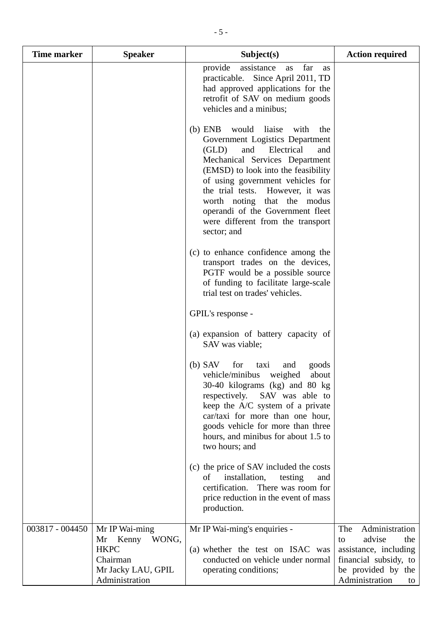| <b>Time marker</b> | <b>Speaker</b>                                                                                            | Subject(s)                                                                                                                                                                                                                                                                                                                                                                               | <b>Action required</b>                                                                                                                       |
|--------------------|-----------------------------------------------------------------------------------------------------------|------------------------------------------------------------------------------------------------------------------------------------------------------------------------------------------------------------------------------------------------------------------------------------------------------------------------------------------------------------------------------------------|----------------------------------------------------------------------------------------------------------------------------------------------|
|                    |                                                                                                           | far<br>provide<br>assistance<br>as<br>as<br>Since April 2011, TD<br>practicable.<br>had approved applications for the<br>retrofit of SAV on medium goods<br>vehicles and a minibus;                                                                                                                                                                                                      |                                                                                                                                              |
|                    |                                                                                                           | $(b)$ ENB<br>would liaise<br>with<br>the<br>Government Logistics Department<br>and<br>Electrical<br>(GLD)<br>and<br>Mechanical Services Department<br>(EMSD) to look into the feasibility<br>of using government vehicles for<br>the trial tests. However, it was<br>worth noting that the modus<br>operandi of the Government fleet<br>were different from the transport<br>sector; and |                                                                                                                                              |
|                    |                                                                                                           | (c) to enhance confidence among the<br>transport trades on the devices,<br>PGTF would be a possible source<br>of funding to facilitate large-scale<br>trial test on trades' vehicles.                                                                                                                                                                                                    |                                                                                                                                              |
|                    |                                                                                                           | GPIL's response -                                                                                                                                                                                                                                                                                                                                                                        |                                                                                                                                              |
|                    |                                                                                                           | (a) expansion of battery capacity of<br>SAV was viable;                                                                                                                                                                                                                                                                                                                                  |                                                                                                                                              |
|                    |                                                                                                           | $(b)$ SAV<br>for<br>goods<br>taxi<br>and<br>vehicle/minibus<br>weighed<br>about<br>30-40 kilograms (kg) and 80 kg<br>respectively. SAV was able to<br>keep the A/C system of a private<br>car/taxi for more than one hour,<br>goods vehicle for more than three<br>hours, and minibus for about 1.5 to<br>two hours; and                                                                 |                                                                                                                                              |
|                    |                                                                                                           | (c) the price of SAV included the costs<br>installation,<br>of<br>testing<br>and<br>certification.<br>There was room for<br>price reduction in the event of mass<br>production.                                                                                                                                                                                                          |                                                                                                                                              |
| 003817 - 004450    | Mr IP Wai-ming<br>Kenny<br>WONG,<br>Mr<br><b>HKPC</b><br>Chairman<br>Mr Jacky LAU, GPIL<br>Administration | Mr IP Wai-ming's enquiries -<br>(a) whether the test on ISAC was<br>conducted on vehicle under normal<br>operating conditions;                                                                                                                                                                                                                                                           | Administration<br>The<br>advise<br>the<br>to<br>assistance, including<br>financial subsidy, to<br>be provided by the<br>Administration<br>to |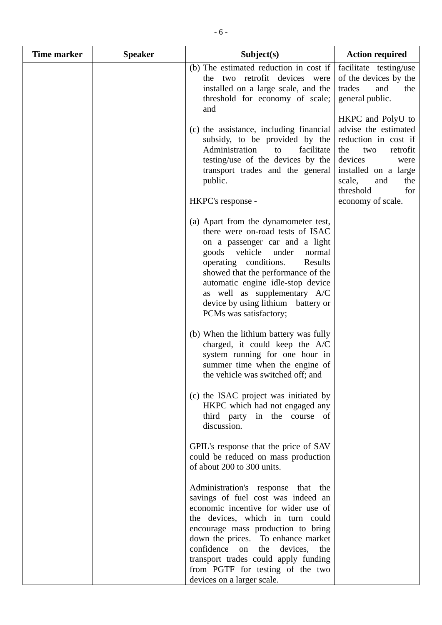| Time marker | <b>Speaker</b> | Subject(s)                                                                                                                                                                                                                                                                                                                                                                        | <b>Action required</b>                                                                                                                                                                                  |
|-------------|----------------|-----------------------------------------------------------------------------------------------------------------------------------------------------------------------------------------------------------------------------------------------------------------------------------------------------------------------------------------------------------------------------------|---------------------------------------------------------------------------------------------------------------------------------------------------------------------------------------------------------|
|             |                | (b) The estimated reduction in cost if<br>the two retrofit devices were<br>installed on a large scale, and the<br>threshold for economy of scale;<br>and                                                                                                                                                                                                                          | facilitate testing/use<br>of the devices by the<br>trades<br>and<br>the<br>general public.                                                                                                              |
|             |                | (c) the assistance, including financial<br>subsidy, to be provided by the<br>Administration<br>facilitate<br>to<br>testing/use of the devices by the<br>transport trades and the general<br>public.<br>HKPC's response -                                                                                                                                                          | HKPC and PolyU to<br>advise the estimated<br>reduction in cost if<br>the<br>retrofit<br>two<br>devices<br>were<br>installed on a large<br>scale,<br>and<br>the<br>threshold<br>for<br>economy of scale. |
|             |                | (a) Apart from the dynamometer test,<br>there were on-road tests of ISAC<br>on a passenger car and a light<br>vehicle<br>goods<br>under<br>normal<br>operating conditions.<br>Results<br>showed that the performance of the<br>automatic engine idle-stop device<br>as well as supplementary A/C<br>device by using lithium battery or<br>PCMs was satisfactory;                  |                                                                                                                                                                                                         |
|             |                | (b) When the lithium battery was fully<br>charged, it could keep the A/C<br>system running for one hour in<br>summer time when the engine of<br>the vehicle was switched off; and                                                                                                                                                                                                 |                                                                                                                                                                                                         |
|             |                | (c) the ISAC project was initiated by<br>HKPC which had not engaged any<br>third party in the course of<br>discussion.                                                                                                                                                                                                                                                            |                                                                                                                                                                                                         |
|             |                | GPIL's response that the price of SAV<br>could be reduced on mass production<br>of about 200 to 300 units.                                                                                                                                                                                                                                                                        |                                                                                                                                                                                                         |
|             |                | Administration's response that the<br>savings of fuel cost was indeed an<br>economic incentive for wider use of<br>the devices, which in turn could<br>encourage mass production to bring<br>down the prices. To enhance market<br>confidence on the<br>devices,<br>the<br>transport trades could apply funding<br>from PGTF for testing of the two<br>devices on a larger scale. |                                                                                                                                                                                                         |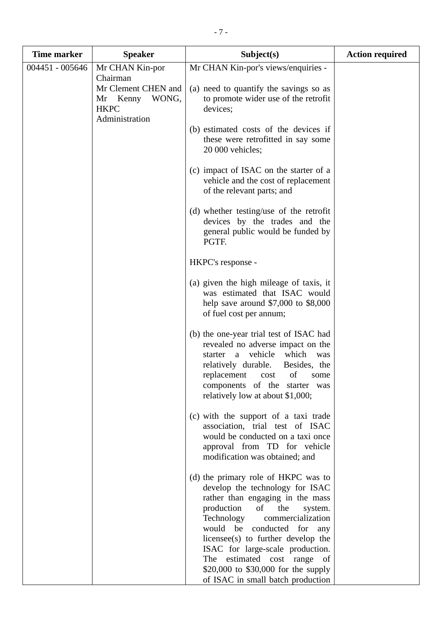| <b>Time marker</b> | <b>Speaker</b>                                                                                           | Subject(s)                                                                                                                                                                                                                                                                                  | <b>Action required</b> |
|--------------------|----------------------------------------------------------------------------------------------------------|---------------------------------------------------------------------------------------------------------------------------------------------------------------------------------------------------------------------------------------------------------------------------------------------|------------------------|
| 004451 - 005646    | Mr CHAN Kin-por<br>Chairman<br>Mr Clement CHEN and<br>WONG,<br>Mr Kenny<br><b>HKPC</b><br>Administration | Mr CHAN Kin-por's views/enquiries -<br>(a) need to quantify the savings so as<br>to promote wider use of the retrofit<br>devices;                                                                                                                                                           |                        |
|                    |                                                                                                          | (b) estimated costs of the devices if<br>these were retrofitted in say some<br>20 000 vehicles;                                                                                                                                                                                             |                        |
|                    |                                                                                                          | (c) impact of ISAC on the starter of a<br>vehicle and the cost of replacement<br>of the relevant parts; and                                                                                                                                                                                 |                        |
|                    |                                                                                                          | (d) whether testing/use of the retrofit<br>devices by the trades and the<br>general public would be funded by<br>PGTF.                                                                                                                                                                      |                        |
|                    |                                                                                                          | HKPC's response -                                                                                                                                                                                                                                                                           |                        |
|                    |                                                                                                          | (a) given the high mileage of taxis, it<br>was estimated that ISAC would<br>help save around $$7,000$ to $$8,000$<br>of fuel cost per annum;                                                                                                                                                |                        |
|                    |                                                                                                          | (b) the one-year trial test of ISAC had<br>revealed no adverse impact on the<br>starter a vehicle<br>which<br>was<br>relatively durable.<br>Besides, the<br>replacement<br>of<br>cost<br>some<br>components of the starter was<br>relatively low at about \$1,000;                          |                        |
|                    |                                                                                                          | (c) with the support of a taxi trade<br>association, trial test of ISAC<br>would be conducted on a taxi once<br>approval from TD for vehicle<br>modification was obtained; and                                                                                                              |                        |
|                    |                                                                                                          | (d) the primary role of HKPC was to<br>develop the technology for ISAC<br>rather than engaging in the mass<br>production<br>of<br>the<br>system.<br>commercialization<br>Technology<br>would be conducted for any<br>licensee(s) to further develop the<br>ISAC for large-scale production. |                        |
|                    |                                                                                                          | The estimated cost range of<br>\$20,000 to \$30,000 for the supply<br>of ISAC in small batch production                                                                                                                                                                                     |                        |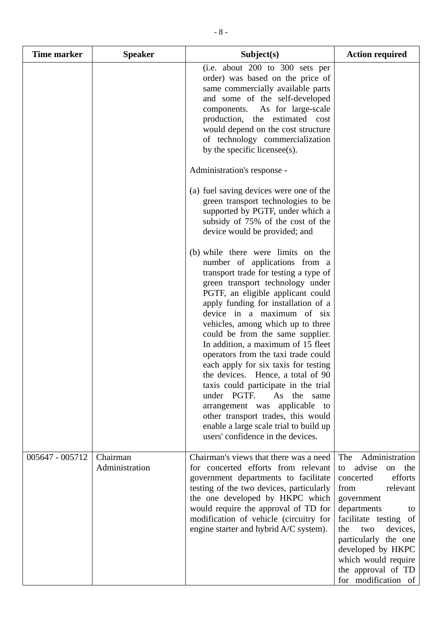| <b>Time marker</b> | <b>Speaker</b>             | Subject(s)                                                                                                                                                                                                                                                                                                                                                                                                                                                                                                                                                                                                                                                                                                                | <b>Action required</b>                                                                                                                                                                                                                                                                                |
|--------------------|----------------------------|---------------------------------------------------------------------------------------------------------------------------------------------------------------------------------------------------------------------------------------------------------------------------------------------------------------------------------------------------------------------------------------------------------------------------------------------------------------------------------------------------------------------------------------------------------------------------------------------------------------------------------------------------------------------------------------------------------------------------|-------------------------------------------------------------------------------------------------------------------------------------------------------------------------------------------------------------------------------------------------------------------------------------------------------|
|                    |                            | (i.e. about 200 to 300 sets per<br>order) was based on the price of<br>same commercially available parts<br>and some of the self-developed<br>components.<br>As for large-scale<br>production, the estimated cost<br>would depend on the cost structure<br>of technology commercialization<br>by the specific licensee(s).                                                                                                                                                                                                                                                                                                                                                                                                |                                                                                                                                                                                                                                                                                                       |
|                    |                            | Administration's response -                                                                                                                                                                                                                                                                                                                                                                                                                                                                                                                                                                                                                                                                                               |                                                                                                                                                                                                                                                                                                       |
|                    |                            | (a) fuel saving devices were one of the<br>green transport technologies to be<br>supported by PGTF, under which a<br>subsidy of 75% of the cost of the<br>device would be provided; and                                                                                                                                                                                                                                                                                                                                                                                                                                                                                                                                   |                                                                                                                                                                                                                                                                                                       |
|                    |                            | (b) while there were limits on the<br>number of applications from a<br>transport trade for testing a type of<br>green transport technology under<br>PGTF, an eligible applicant could<br>apply funding for installation of a<br>device in a maximum of six<br>vehicles, among which up to three<br>could be from the same supplier.<br>In addition, a maximum of 15 fleet<br>operators from the taxi trade could<br>each apply for six taxis for testing<br>the devices. Hence, a total of 90<br>taxis could participate in the trial<br>under PGTF.<br>As the same<br>arrangement was applicable to<br>other transport trades, this would<br>enable a large scale trial to build up<br>users' confidence in the devices. |                                                                                                                                                                                                                                                                                                       |
| 005647 - 005712    | Chairman<br>Administration | Chairman's views that there was a need<br>for concerted efforts from relevant<br>government departments to facilitate<br>testing of the two devices, particularly<br>the one developed by HKPC which<br>would require the approval of TD for<br>modification of vehicle (circuitry for<br>engine starter and hybrid A/C system).                                                                                                                                                                                                                                                                                                                                                                                          | Administration<br>The<br>advise<br>the<br>on<br>to<br>efforts<br>concerted<br>from<br>relevant<br>government<br>departments<br>to<br>facilitate testing of<br>devices,<br>the<br>two<br>particularly the one<br>developed by HKPC<br>which would require<br>the approval of TD<br>for modification of |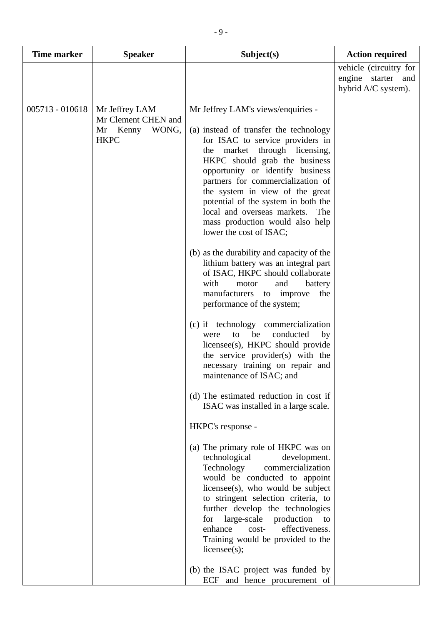| <b>Time marker</b> | <b>Speaker</b>                                                         | Subject(s)                                                                                                                                                                                                                                                                                                                                                                                                                                                                                                                                                                                                                                                                                                                                                                                                                                                                                                                                                                                                                                                                                                                                                                                                                                                                                                                                                                                                                                                                  | <b>Action required</b>                                              |
|--------------------|------------------------------------------------------------------------|-----------------------------------------------------------------------------------------------------------------------------------------------------------------------------------------------------------------------------------------------------------------------------------------------------------------------------------------------------------------------------------------------------------------------------------------------------------------------------------------------------------------------------------------------------------------------------------------------------------------------------------------------------------------------------------------------------------------------------------------------------------------------------------------------------------------------------------------------------------------------------------------------------------------------------------------------------------------------------------------------------------------------------------------------------------------------------------------------------------------------------------------------------------------------------------------------------------------------------------------------------------------------------------------------------------------------------------------------------------------------------------------------------------------------------------------------------------------------------|---------------------------------------------------------------------|
|                    |                                                                        |                                                                                                                                                                                                                                                                                                                                                                                                                                                                                                                                                                                                                                                                                                                                                                                                                                                                                                                                                                                                                                                                                                                                                                                                                                                                                                                                                                                                                                                                             | vehicle (circuitry for<br>engine starter and<br>hybrid A/C system). |
| $005713 - 010618$  | Mr Jeffrey LAM<br>Mr Clement CHEN and<br>Mr Kenny WONG,<br><b>HKPC</b> | Mr Jeffrey LAM's views/enquiries -<br>(a) instead of transfer the technology<br>for ISAC to service providers in<br>market through licensing,<br>the<br>HKPC should grab the business<br>opportunity or identify business<br>partners for commercialization of<br>the system in view of the great<br>potential of the system in both the<br>local and overseas markets.<br>The<br>mass production would also help<br>lower the cost of ISAC;<br>(b) as the durability and capacity of the<br>lithium battery was an integral part<br>of ISAC, HKPC should collaborate<br>with<br>motor<br>and<br>battery<br>manufacturers to improve<br>the<br>performance of the system;<br>(c) if technology commercialization<br>conducted<br>be<br>to<br>by<br>were<br>licensee(s), HKPC should provide<br>the service provider(s) with the<br>necessary training on repair and<br>maintenance of ISAC; and<br>(d) The estimated reduction in cost if<br>ISAC was installed in a large scale.<br>HKPC's response -<br>(a) The primary role of HKPC was on<br>technological<br>development.<br>Technology<br>commercialization<br>would be conducted to appoint<br>$license(s)$ , who would be subject<br>to stringent selection criteria, to<br>further develop the technologies<br>for large-scale<br>production<br>to<br>effectiveness.<br>enhance<br>cost-<br>Training would be provided to the<br>license(s);<br>(b) the ISAC project was funded by<br>ECF and hence procurement of |                                                                     |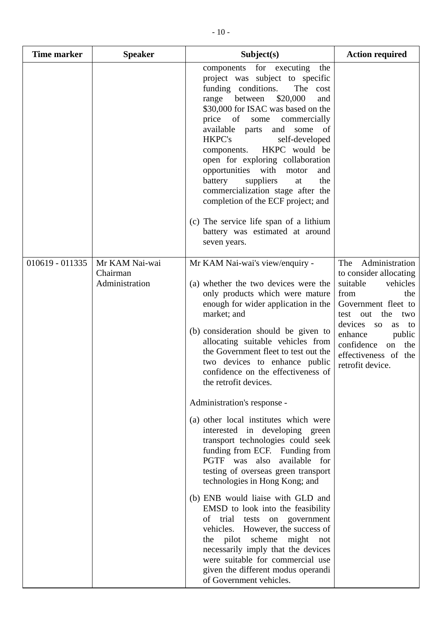| <b>Time marker</b> | <b>Speaker</b>                               | Subject(s)                                                                                                                                                                                                                                                                                                                                                                                                                                                                                                                                                                                                               | <b>Action required</b>                                                                                                                                                                                                                                        |
|--------------------|----------------------------------------------|--------------------------------------------------------------------------------------------------------------------------------------------------------------------------------------------------------------------------------------------------------------------------------------------------------------------------------------------------------------------------------------------------------------------------------------------------------------------------------------------------------------------------------------------------------------------------------------------------------------------------|---------------------------------------------------------------------------------------------------------------------------------------------------------------------------------------------------------------------------------------------------------------|
|                    |                                              | components for executing<br>the<br>project was subject to specific<br>funding conditions.<br>The cost<br>between<br>\$20,000<br>range<br>and<br>\$30,000 for ISAC was based on the<br>price<br>of<br>some<br>commercially<br>available parts<br>and<br>some of<br><b>HKPC's</b><br>self-developed<br>HKPC would be<br>components.<br>open for exploring collaboration<br>opportunities with<br>motor<br>and<br>suppliers<br>battery<br>the<br>at<br>commercialization stage after the<br>completion of the ECF project; and<br>(c) The service life span of a lithium<br>battery was estimated at around<br>seven years. |                                                                                                                                                                                                                                                               |
| 010619 - 011335    | Mr KAM Nai-wai<br>Chairman<br>Administration | Mr KAM Nai-wai's view/enquiry -<br>(a) whether the two devices were the<br>only products which were mature<br>enough for wider application in the<br>market; and<br>(b) consideration should be given to<br>allocating suitable vehicles from<br>the Government fleet to test out the<br>two devices to enhance public<br>confidence on the effectiveness of<br>the retrofit devices.                                                                                                                                                                                                                                    | Administration<br>The<br>to consider allocating<br>vehicles<br>suitable<br>from<br>the<br>Government fleet to<br>the<br>test out<br>two<br>devices so<br>as<br>to<br>enhance<br>public<br>confidence<br>on<br>the<br>effectiveness of the<br>retrofit device. |
|                    |                                              | Administration's response -<br>(a) other local institutes which were<br>interested in developing green<br>transport technologies could seek<br>funding from ECF. Funding from<br>PGTF was also available for<br>testing of overseas green transport<br>technologies in Hong Kong; and<br>(b) ENB would liaise with GLD and<br>EMSD to look into the feasibility<br>of trial tests on government<br>vehicles. However, the success of<br>the pilot scheme<br>might not<br>necessarily imply that the devices<br>were suitable for commercial use<br>given the different modus operandi<br>of Government vehicles.         |                                                                                                                                                                                                                                                               |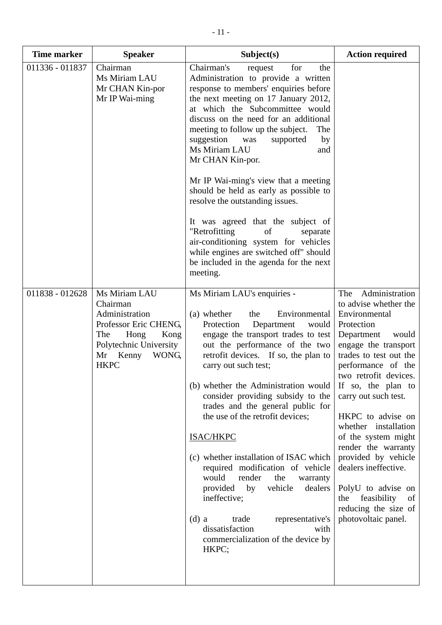| <b>Time marker</b> | <b>Speaker</b>                                                                                                                                            | Subject(s)                                                                                                                                                                                                                                                                                                                                                                                                                                                                                                                                                                                                                                                                                                        | <b>Action required</b>                                                                                                                                                                                                                                                                                                                                                                                                                                                                         |
|--------------------|-----------------------------------------------------------------------------------------------------------------------------------------------------------|-------------------------------------------------------------------------------------------------------------------------------------------------------------------------------------------------------------------------------------------------------------------------------------------------------------------------------------------------------------------------------------------------------------------------------------------------------------------------------------------------------------------------------------------------------------------------------------------------------------------------------------------------------------------------------------------------------------------|------------------------------------------------------------------------------------------------------------------------------------------------------------------------------------------------------------------------------------------------------------------------------------------------------------------------------------------------------------------------------------------------------------------------------------------------------------------------------------------------|
| 011336 - 011837    | Chairman<br>Ms Miriam LAU<br>Mr CHAN Kin-por<br>Mr IP Wai-ming                                                                                            | Chairman's<br>for<br>the<br>request<br>Administration to provide a written<br>response to members' enquiries before<br>the next meeting on 17 January 2012,<br>at which the Subcommittee would<br>discuss on the need for an additional<br>meeting to follow up the subject.<br>The<br>suggestion<br>by<br>was<br>supported<br>Ms Miriam LAU<br>and<br>Mr CHAN Kin-por.<br>Mr IP Wai-ming's view that a meeting                                                                                                                                                                                                                                                                                                   |                                                                                                                                                                                                                                                                                                                                                                                                                                                                                                |
|                    |                                                                                                                                                           | should be held as early as possible to<br>resolve the outstanding issues.<br>It was agreed that the subject of<br>"Retrofitting<br>of<br>separate<br>air-conditioning system for vehicles<br>while engines are switched off" should<br>be included in the agenda for the next<br>meeting.                                                                                                                                                                                                                                                                                                                                                                                                                         |                                                                                                                                                                                                                                                                                                                                                                                                                                                                                                |
| 011838 - 012628    | Ms Miriam LAU<br>Chairman<br>Administration<br>Professor Eric CHENG,<br>The<br>Hong<br>Kong<br>Polytechnic University<br>WONG,<br>Mr Kenny<br><b>HKPC</b> | Ms Miriam LAU's enquiries -<br>(a) whether<br>Environmental<br>the<br>Protection<br>Department<br>would<br>engage the transport trades to test<br>out the performance of the two<br>retrofit devices. If so, the plan to<br>carry out such test;<br>(b) whether the Administration would<br>consider providing subsidy to the<br>trades and the general public for<br>the use of the retrofit devices;<br>ISAC/HKPC<br>(c) whether installation of ISAC which<br>required modification of vehicle<br>would<br>render<br>the<br>warranty<br>provided<br>by<br>vehicle<br>dealers<br>ineffective;<br>$(d)$ a<br>trade<br>representative's<br>dissatisfaction<br>with<br>commercialization of the device by<br>HKPC; | Administration<br>The<br>to advise whether the<br>Environmental<br>Protection<br>Department<br>would<br>engage the transport<br>trades to test out the<br>performance of the<br>two retrofit devices.<br>If so, the plan to<br>carry out such test.<br>HKPC to advise on<br>whether installation<br>of the system might<br>render the warranty<br>provided by vehicle<br>dealers ineffective.<br>PolyU to advise on<br>feasibility<br>the<br>of<br>reducing the size of<br>photovoltaic panel. |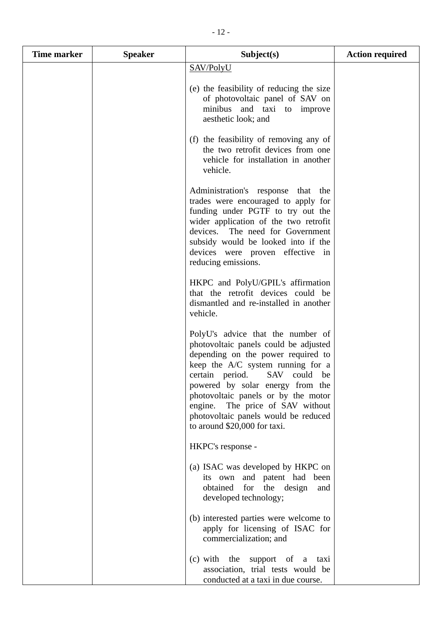| <b>Time marker</b> | <b>Speaker</b> | Subject(s)                                                                                                                                                                                                                                                                                                                                                                         | <b>Action required</b> |
|--------------------|----------------|------------------------------------------------------------------------------------------------------------------------------------------------------------------------------------------------------------------------------------------------------------------------------------------------------------------------------------------------------------------------------------|------------------------|
|                    |                | SAV/PolyU                                                                                                                                                                                                                                                                                                                                                                          |                        |
|                    |                | (e) the feasibility of reducing the size<br>of photovoltaic panel of SAV on<br>minibus and taxi to improve<br>aesthetic look; and                                                                                                                                                                                                                                                  |                        |
|                    |                | (f) the feasibility of removing any of<br>the two retrofit devices from one<br>vehicle for installation in another<br>vehicle.                                                                                                                                                                                                                                                     |                        |
|                    |                | Administration's response that the<br>trades were encouraged to apply for<br>funding under PGTF to try out the<br>wider application of the two retrofit<br>devices. The need for Government<br>subsidy would be looked into if the<br>devices were proven effective in<br>reducing emissions.                                                                                      |                        |
|                    |                | HKPC and PolyU/GPIL's affirmation<br>that the retrofit devices could be<br>dismantled and re-installed in another<br>vehicle.                                                                                                                                                                                                                                                      |                        |
|                    |                | PolyU's advice that the number of<br>photovoltaic panels could be adjusted<br>depending on the power required to<br>keep the A/C system running for a<br>certain period.<br>SAV<br>could be<br>powered by solar energy from the<br>photovoltaic panels or by the motor<br>engine. The price of SAV without<br>photovoltaic panels would be reduced<br>to around \$20,000 for taxi. |                        |
|                    |                | HKPC's response -                                                                                                                                                                                                                                                                                                                                                                  |                        |
|                    |                | (a) ISAC was developed by HKPC on<br>its own and patent had been<br>obtained for the design<br>and<br>developed technology;                                                                                                                                                                                                                                                        |                        |
|                    |                | (b) interested parties were welcome to<br>apply for licensing of ISAC for<br>commercialization; and                                                                                                                                                                                                                                                                                |                        |
|                    |                | (c) with the support of<br>$\rm{a}$<br>taxi<br>association, trial tests would be<br>conducted at a taxi in due course.                                                                                                                                                                                                                                                             |                        |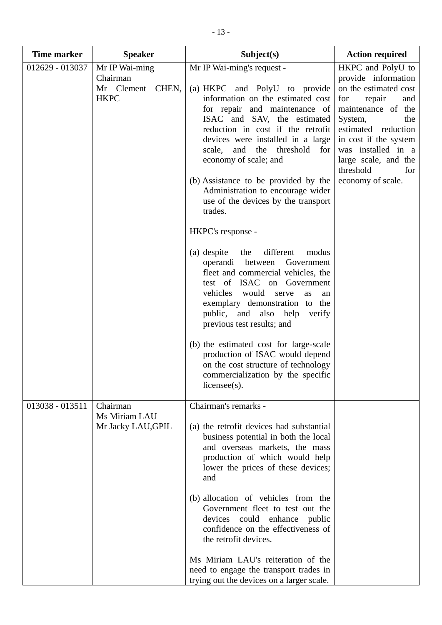| <b>Time marker</b>                                                 | <b>Speaker</b>                  | Subject(s)                                                                                                                                                                                                                                                                                                                         | <b>Action required</b>                                                                                                                                                                                                       |
|--------------------------------------------------------------------|---------------------------------|------------------------------------------------------------------------------------------------------------------------------------------------------------------------------------------------------------------------------------------------------------------------------------------------------------------------------------|------------------------------------------------------------------------------------------------------------------------------------------------------------------------------------------------------------------------------|
| 012629 - 013037                                                    | Mr IP Wai-ming<br>Chairman      | Mr IP Wai-ming's request -                                                                                                                                                                                                                                                                                                         | HKPC and PolyU to<br>provide information                                                                                                                                                                                     |
|                                                                    | Mr Clement CHEN,<br><b>HKPC</b> | (a) HKPC and PolyU to provide<br>information on the estimated cost<br>for repair and maintenance of<br>ISAC and SAV, the estimated<br>reduction in cost if the retrofit<br>devices were installed in a large<br>threshold<br>and the<br>for<br>scale,<br>economy of scale; and<br>(b) Assistance to be provided by the             | on the estimated cost<br>repair<br>for<br>and<br>maintenance of the<br>System,<br>the<br>estimated reduction<br>in cost if the system<br>was installed in a<br>large scale, and the<br>threshold<br>for<br>economy of scale. |
|                                                                    |                                 | Administration to encourage wider<br>use of the devices by the transport<br>trades.                                                                                                                                                                                                                                                |                                                                                                                                                                                                                              |
|                                                                    |                                 | HKPC's response -                                                                                                                                                                                                                                                                                                                  |                                                                                                                                                                                                                              |
|                                                                    |                                 | (a) despite<br>the<br>different<br>modus<br>operandi between<br>Government<br>fleet and commercial vehicles, the<br>test of ISAC on Government<br>vehicles would<br>serve<br>as<br>an<br>exemplary demonstration to the<br>public, and also help<br>verify<br>previous test results; and<br>(b) the estimated cost for large-scale |                                                                                                                                                                                                                              |
|                                                                    |                                 | production of ISAC would depend<br>on the cost structure of technology<br>commercialization by the specific<br>$license(s)$ .                                                                                                                                                                                                      |                                                                                                                                                                                                                              |
| Chairman<br>013038 - 013511<br>Ms Miriam LAU<br>Mr Jacky LAU, GPIL | Chairman's remarks -            |                                                                                                                                                                                                                                                                                                                                    |                                                                                                                                                                                                                              |
|                                                                    |                                 | (a) the retrofit devices had substantial<br>business potential in both the local<br>and overseas markets, the mass<br>production of which would help<br>lower the prices of these devices;<br>and                                                                                                                                  |                                                                                                                                                                                                                              |
|                                                                    |                                 | (b) allocation of vehicles from the<br>Government fleet to test out the<br>devices could enhance public<br>confidence on the effectiveness of<br>the retrofit devices.                                                                                                                                                             |                                                                                                                                                                                                                              |
|                                                                    |                                 | Ms Miriam LAU's reiteration of the<br>need to engage the transport trades in<br>trying out the devices on a larger scale.                                                                                                                                                                                                          |                                                                                                                                                                                                                              |